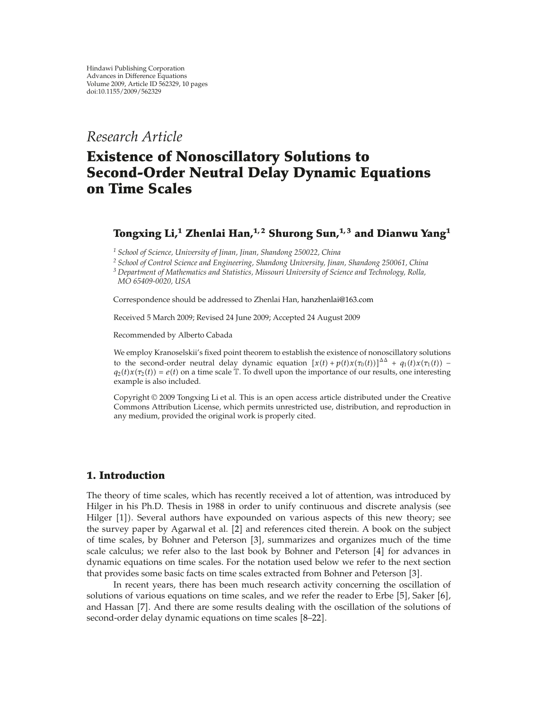*Research Article*

# **Existence of Nonoscillatory Solutions to Second-Order Neutral Delay Dynamic Equations on Time Scales**

## **Tongxing Li,<sup>1</sup> Zhenlai Han,1, 2 Shurong Sun,1, 3 and Dianwu Yang<sup>1</sup>**

*<sup>1</sup> School of Science, University of Jinan, Jinan, Shandong 250022, China*

*<sup>2</sup> School of Control Science and Engineering, Shandong University, Jinan, Shandong 250061, China*

*<sup>3</sup> Department of Mathematics and Statistics, Missouri University of Science and Technology, Rolla, MO 65409-0020, USA*

Correspondence should be addressed to Zhenlai Han, hanzhenlai@163.com

Received 5 March 2009; Revised 24 June 2009; Accepted 24 August 2009

Recommended by Alberto Cabada

We employ Kranoselskii's fixed point theorem to establish the existence of nonoscillatory solutions to the second-order neutral delay dynamic equation  $\left[x(t) + p(t)x(\tau_0(t))\right]^{\Delta \Delta} + q_1(t)x(\tau_1(t))$  –  $q_2(t)x(\tau_2(t)) = e(t)$  on a time scale T. To dwell upon the importance of our results, one interesting example is also included.

Copyright @ 2009 Tongxing Li et al. This is an open access article distributed under the Creative Commons Attribution License, which permits unrestricted use, distribution, and reproduction in any medium, provided the original work is properly cited.

### **1. Introduction**

The theory of time scales, which has recently received a lot of attention, was introduced by Hilger in his Ph.D. Thesis in 1988 in order to unify continuous and discrete analysis (see Hilger [1]). Several authors have expounded on various aspects of this new theory; see the survey paper by Agarwal et al. [2] and references cited therein. A book on the subject of time scales, by Bohner and Peterson [3], summarizes and organizes much of the time scale calculus; we refer also to the last book by Bohner and Peterson  $[4]$  for advances in dynamic equations on time scales. For the notation used below we refer to the next section that provides some basic facts on time scales extracted from Bohner and Peterson [3].

In recent years, there has been much research activity concerning the oscillation of solutions of various equations on time scales, and we refer the reader to Erbe  $[5]$ , Saker  $[6]$ , and Hassan [7]. And there are some results dealing with the oscillation of the solutions of second-order delay dynamic equations on time scales [8–22].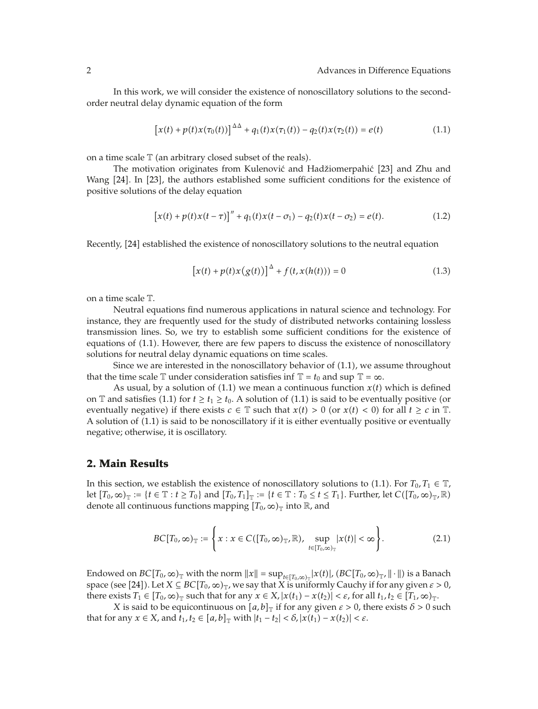In this work, we will consider the existence of nonoscillatory solutions to the secondorder neutral delay dynamic equation of the form

$$
[x(t) + p(t)x(\tau_0(t))]^{\Delta \Delta} + q_1(t)x(\tau_1(t)) - q_2(t)x(\tau_2(t)) = e(t)
$$
\n(1.1)

on a time scale  $\mathbb T$  (an arbitrary closed subset of the reals).

The motivation originates from Kulenović and Hadžiomerpahić [23] and Zhu and Wang [24]. In [23], the authors established some sufficient conditions for the existence of positive solutions of the delay equation

$$
[x(t) + p(t)x(t-\tau)]'' + q_1(t)x(t-\sigma_1) - q_2(t)x(t-\sigma_2) = e(t).
$$
 (1.2)

Recently, [24] established the existence of nonoscillatory solutions to the neutral equation

$$
[x(t) + p(t)x(g(t))]^{\Delta} + f(t, x(h(t))) = 0
$$
\n(1.3)

on a time scale T*.*

Neutral equations find numerous applications in natural science and technology. For instance, they are frequently used for the study of distributed networks containing lossless transmission lines. So, we try to establish some sufficient conditions for the existence of equations of 1.1. However, there are few papers to discuss the existence of nonoscillatory solutions for neutral delay dynamic equations on time scales.

Since we are interested in the nonoscillatory behavior of  $(1.1)$ , we assume throughout that the time scale  $\mathbb T$  under consideration satisfies inf  $\mathbb T = t_0$  and sup  $\mathbb T = \infty$ *.* 

As usual, by a solution of  $(1.1)$  we mean a continuous function  $x(t)$  which is defined on T and satisfies (1.1) for  $t \ge t_1 \ge t_0$ . A solution of (1.1) is said to be eventually positive (or eventually negative) if there exists  $c \in \mathbb{T}$  such that  $x(t) > 0$  (or  $x(t) < 0$ ) for all  $t \ge c$  in  $\mathbb{T}$ . A solution of 1.1 is said to be nonoscillatory if it is either eventually positive or eventually negative; otherwise, it is oscillatory.

#### **2. Main Results**

In this section, we establish the existence of nonoscillatory solutions to (1.1). For  $T_0, T_1 \in \mathbb{T}$ , let  $[T_0, \infty)_T := \{t \in \mathbb{T} : t \geq T_0\}$  and  $[T_0, T_1]_T := \{t \in \mathbb{T} : T_0 \leq t \leq T_1\}$ . Further, let  $C([T_0, \infty)_T, \mathbb{R})$ denote all continuous functions mapping  $[T_0, \infty)_T$  into  $\mathbb R$ *,* and

$$
BC[T_0, \infty)_\mathbb{T} := \left\{ x : x \in C([T_0, \infty)_\mathbb{T}, \mathbb{R}), \sup_{t \in [T_0, \infty)_\mathbb{T}} |x(t)| < \infty \right\}.
$$
\n
$$
(2.1)
$$

Endowed on  $BC[T_0, \infty)_{\mathbb{T}}$  with the norm  $||x|| = \sup_{t \in [T_0, \infty)_{\mathbb{T}}} |x(t)|$ ,  $(BC[T_0, \infty)_{\mathbb{T}}$ ,  $|| \cdot ||)$  is a Banach space (see [24]). Let  $X \subseteq BC[T_0, \infty)_{\mathbb{T}}$ , we say that *X* is uniformly Cauchy if for any given  $\varepsilon > 0$ , there exists  $T_1 \in [T_0, \infty)_T$  such that for any  $x \in X$ ,  $|x(t_1) - x(t_2)| < \varepsilon$ , for all  $t_1, t_2 \in [T_1, \infty)_T$ .

*X* is said to be equicontinuous on  $[a, b]_{\text{T}}$  if for any given  $\varepsilon > 0$ , there exists  $\delta > 0$  such that for any  $x \in X$ , and  $t_1, t_2 \in [a, b]$  with  $|t_1 - t_2| < \delta$ ,  $|x(t_1) - x(t_2)| < \varepsilon$ .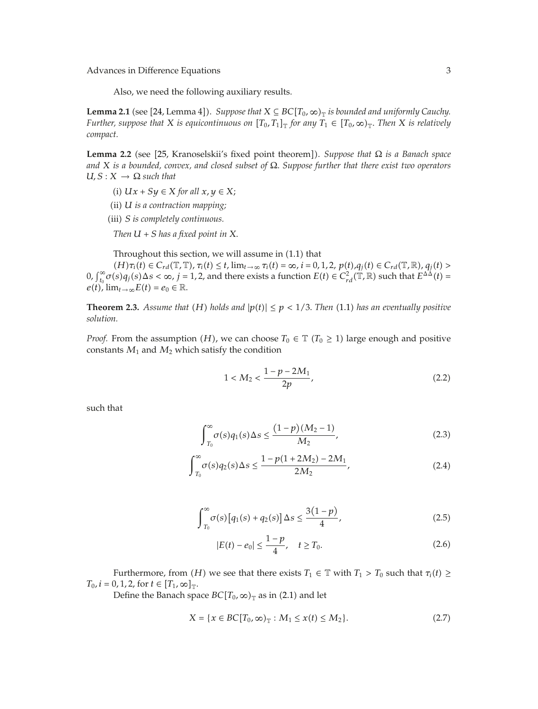Advances in Difference Equations 3

Also, we need the following auxiliary results.

**Lemma 2.1** (see [24, Lemma 4]). *Suppose that*  $X \subseteq BC[T_0, \infty)$  *is bounded and uniformly Cauchy. Further, suppose that X is equicontinuous on*  $[T_0, T_1]$  *for any*  $T_1 \in [T_0, \infty)$  *Then X is relatively compact.*

**Lemma 2.2** (see [25, Kranoselskii's fixed point theorem]). *Suppose that*  $\Omega$  *is a Banach space and X is a bounded, convex, and closed subset of* Ω*. Suppose further that there exist two operators*  $U, S: X \rightarrow \Omega$  *such that* 

- *(i)*  $Ux + Sy \in X$  *for all*  $x, y \in X$ ;
- ii *U is a contraction mapping;*
- iii *S is completely continuous.*

*Then*  $U + S$  *has a fixed point in*  $X$ .

Throughout this section, we will assume in  $(1.1)$  that

 $(H)\tau_i(t) \in C_{rd}(\mathbb{T}, \mathbb{T}), \tau_i(t) \leq t$ ,  $\lim_{t \to \infty} \tau_i(t) = \infty$ ,  $i = 0, 1, 2, p(t), q_i(t) \in C_{rd}(\mathbb{T}, \mathbb{R}), q_i(t) >$  $0, \int_{t_0}^{\infty} \sigma(s) q_j(s) \Delta s < \infty$ ,  $j = 1, 2$ , and there exists a function  $E(t) \in C_{rd}^2(\mathbb{T}, \mathbb{R})$  such that  $E^{\Delta \Delta}(t) =$  $e(t)$ ,  $\lim_{t\to\infty} E(t) = e_0 \in \mathbb{R}$ .

**Theorem 2.3.** *Assume that* (*H*) *holds and*  $|p(t)| \leq p < 1/3$ *. Then* (1.1) *has an eventually positive solution.*

*Proof.* From the assumption *(H)*, we can choose  $T_0 \in \mathbb{T}$  *(T<sub>0</sub>*  $\geq$  1) large enough and positive constants  $M_1$  and  $M_2$  which satisfy the condition

$$
1 < M_2 < \frac{1 - p - 2M_1}{2p},\tag{2.2}
$$

such that

$$
\int_{T_0}^{\infty} \sigma(s) q_1(s) \Delta s \le \frac{(1-p)(M_2 - 1)}{M_2},\tag{2.3}
$$

$$
\int_{T_0}^{\infty} \sigma(s) q_2(s) \Delta s \le \frac{1 - p(1 + 2M_2) - 2M_1}{2M_2},\tag{2.4}
$$

$$
\int_{T_0}^{\infty} \sigma(s) \left[ q_1(s) + q_2(s) \right] \Delta s \le \frac{3(1-p)}{4},\tag{2.5}
$$

$$
|E(t) - e_0| \le \frac{1 - p}{4}, \quad t \ge T_0.
$$
 (2.6)

Furthermore, from *(H)* we see that there exists  $T_1 \in \mathbb{T}$  with  $T_1 > T_0$  such that  $\tau_i(t) \geq$  $T_0$ *,*  $i = 0, 1, 2$ *,* for  $t \in [T_1, \infty]_{\mathbb{T}}$ *.* 

Define the Banach space  $BC[T_0, \infty)_T$  as in (2.1) and let

$$
X = \{x \in BC[T_0, \infty)_T : M_1 \le x(t) \le M_2\}.
$$
 (2.7)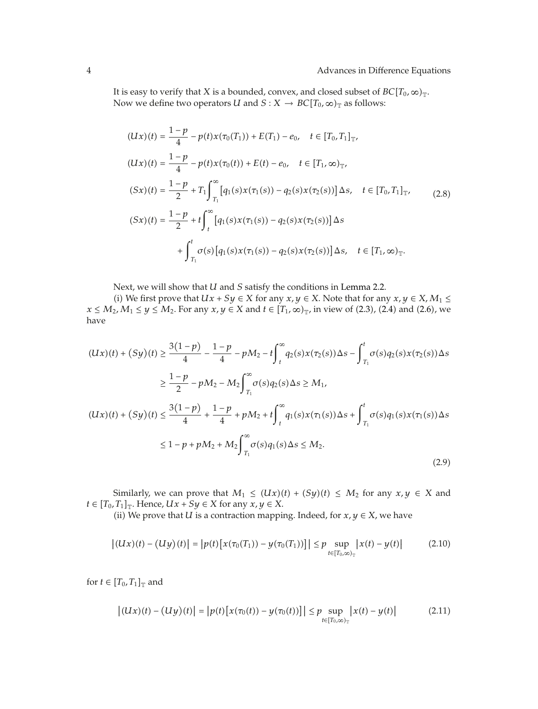It is easy to verify that *X* is a bounded, convex, and closed subset of  $BC[T_0, \infty)_T$ . Now we define two operators *U* and *S* : *X*  $\rightarrow$  *BC* $[T_0, \infty)_T$  as follows:

$$
(Ux)(t) = \frac{1-p}{4} - p(t)x(\tau_0(T_1)) + E(T_1) - e_0, \quad t \in [T_0, T_1]_{\mathbb{T}},
$$
  
\n
$$
(Ux)(t) = \frac{1-p}{4} - p(t)x(\tau_0(t)) + E(t) - e_0, \quad t \in [T_1, \infty)_{\mathbb{T}},
$$
  
\n
$$
(Sx)(t) = \frac{1-p}{2} + T_1 \int_{T_1}^{\infty} [q_1(s)x(\tau_1(s)) - q_2(s)x(\tau_2(s))] \Delta s, \quad t \in [T_0, T_1]_{\mathbb{T}},
$$
  
\n
$$
(Sx)(t) = \frac{1-p}{2} + t \int_{t}^{\infty} [q_1(s)x(\tau_1(s)) - q_2(s)x(\tau_2(s))] \Delta s
$$
  
\n
$$
+ \int_{T_1}^{t} \sigma(s) [q_1(s)x(\tau_1(s)) - q_2(s)x(\tau_2(s))] \Delta s, \quad t \in [T_1, \infty)_{\mathbb{T}}.
$$

Next, we will show that *U* and *S* satisfy the conditions in Lemma 2.2.

(i) We first prove that *Ux* + *Sy* ∈ *X* for any *x*, *y* ∈ *X*. Note that for any *x*, *y* ∈ *X*, *M*<sub>1</sub> ≤ *x* ≤ *M*<sub>2</sub>*, M*<sub>1</sub> ≤ *y* ≤ *M*<sub>2</sub>*.* For any *x, y* ∈ *X* and *t* ∈  $[T_1, \infty)_T$ *,* in view of (2.3)*,* (2.4) and (2.6)*,* we have

$$
(Ux)(t) + (Sy)(t) \ge \frac{3(1-p)}{4} - \frac{1-p}{4} - pM_2 - t \int_t^{\infty} q_2(s)x(\tau_2(s))\Delta s - \int_{T_1}^t \sigma(s)q_2(s)x(\tau_2(s))\Delta s
$$
  

$$
\ge \frac{1-p}{2} - pM_2 - M_2 \int_{T_1}^{\infty} \sigma(s)q_2(s)\Delta s \ge M_1,
$$
  

$$
(Ux)(t) + (Sy)(t) \le \frac{3(1-p)}{4} + \frac{1-p}{4} + pM_2 + t \int_t^{\infty} q_1(s)x(\tau_1(s))\Delta s + \int_{T_1}^t \sigma(s)q_1(s)x(\tau_1(s))\Delta s
$$
  

$$
\le 1 - p + pM_2 + M_2 \int_{T_1}^{\infty} \sigma(s)q_1(s)\Delta s \le M_2.
$$
 (2.9)

Similarly, we can prove that  $M_1 \leq (Ux)(t) + (Sy)(t) \leq M_2$  for any  $x, y \in X$  and  $t \in [T_0, T_1]_{\mathbb{T}}$ . Hence,  $Ux + Sy \in X$  for any  $x, y \in X$ .

(ii) We prove that *U* is a contraction mapping. Indeed, for  $x, y \in X$ , we have

$$
|(Ux)(t) - (Uy)(t)| = |p(t)[x(\tau_0(T_1)) - y(\tau_0(T_1))]| \le p \sup_{t \in [T_0, \infty)_T} |x(t) - y(t)|
$$
 (2.10)

for  $t \in [T_0, T_1]_{\mathbb{T}}$  and

$$
\left| (Ux)(t) - (Uy)(t) \right| = \left| p(t) \left[ x(\tau_0(t)) - y(\tau_0(t)) \right] \right| \le p \sup_{t \in [T_0, \infty)_T} \left| x(t) - y(t) \right| \tag{2.11}
$$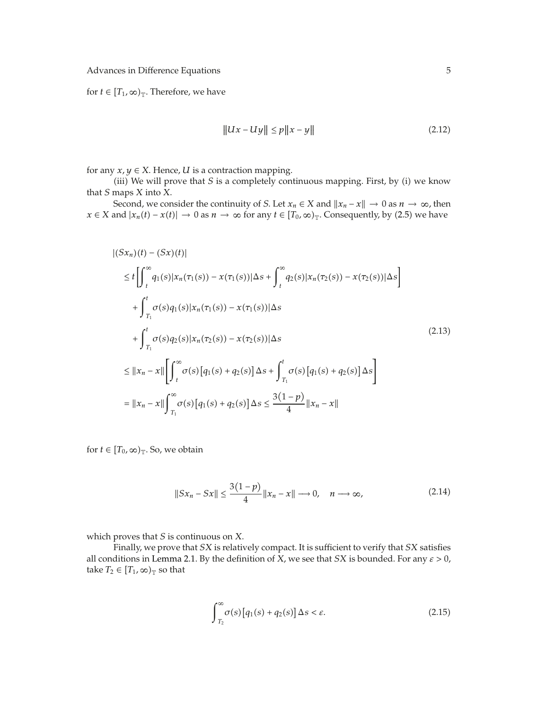Advances in Difference Equations 5

for *t*  $\in$   $[T_1, \infty)_T$ . Therefore, we have

$$
||Ux - Uy|| \le p||x - y|| \tag{2.12}
$$

for any  $x, y \in X$ . Hence, *U* is a contraction mapping.

(iii) We will prove that  $S$  is a completely continuous mapping. First, by (i) we know that *S* maps *X* into *X.*

Second, we consider the continuity of *S*. Let  $x_n \in X$  and  $||x_n - x|| \to 0$  as  $n \to \infty$ , then *x* ∈ *X* and  $|x_n(t) - x(t)|$  → 0 as  $n \to \infty$  for any  $t \in [T_0, \infty)_T$ . Consequently, by (2.5) we have

$$
|(Sx_n)(t) - (Sx)(t)|
$$
  
\n
$$
\leq t \left[ \int_t^{\infty} q_1(s) |x_n(\tau_1(s)) - x(\tau_1(s))| \Delta s + \int_t^{\infty} q_2(s) |x_n(\tau_2(s)) - x(\tau_2(s))| \Delta s \right]
$$
  
\n
$$
+ \int_{T_1}^t \sigma(s) q_1(s) |x_n(\tau_1(s)) - x(\tau_1(s))| \Delta s
$$
  
\n
$$
+ \int_{T_1}^t \sigma(s) q_2(s) |x_n(\tau_2(s)) - x(\tau_2(s))| \Delta s
$$
  
\n
$$
\leq ||x_n - x|| \left[ \int_t^{\infty} \sigma(s) [q_1(s) + q_2(s)] \Delta s + \int_{T_1}^t \sigma(s) [q_1(s) + q_2(s)] \Delta s \right]
$$
  
\n
$$
= ||x_n - x|| \int_{T_1}^{\infty} \sigma(s) [q_1(s) + q_2(s)] \Delta s \leq \frac{3(1 - p)}{4} ||x_n - x||
$$

for  $t \in [T_0, \infty)_T$ . So, we obtain

$$
||Sx_n - Sx|| \le \frac{3(1-p)}{4} ||x_n - x|| \longrightarrow 0, \quad n \longrightarrow \infty,
$$
 (2.14)

which proves that *S* is continuous on *X.*

Finally, we prove that *SX* is relatively compact. It is sufficient to verify that *SX* satisfies all conditions in Lemma 2.1. By the definition of *X,* we see that *SX* is bounded. For any *ε >* 0*,* take  $T_2 \in [T_1, \infty)_T$  so that

$$
\int_{T_2}^{\infty} \sigma(s) \left[ q_1(s) + q_2(s) \right] \Delta s < \varepsilon. \tag{2.15}
$$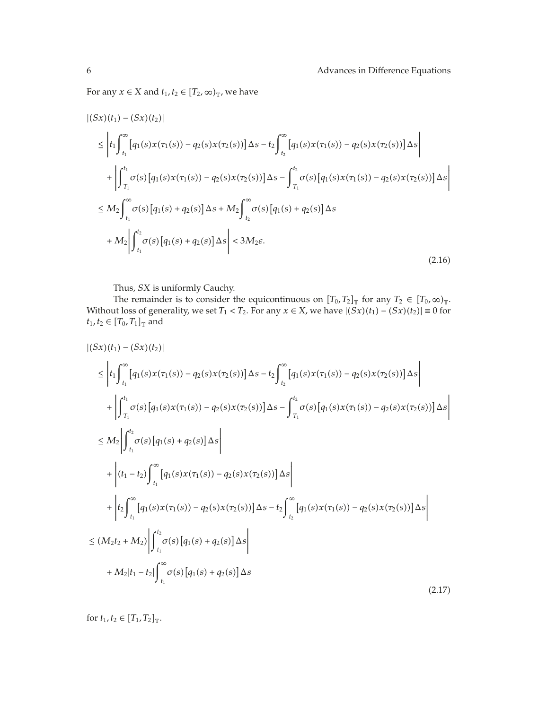For any  $x \in X$  and  $t_1, t_2 \in [T_2, \infty)_T$ , we have

$$
\begin{split}\n&|(Sx)(t_{1}) - (Sx)(t_{2})| \\
&\leq \left| t_{1} \int_{t_{1}}^{\infty} \left[ q_{1}(s)x(\tau_{1}(s)) - q_{2}(s)x(\tau_{2}(s)) \right] \Delta s - t_{2} \int_{t_{2}}^{\infty} \left[ q_{1}(s)x(\tau_{1}(s)) - q_{2}(s)x(\tau_{2}(s)) \right] \Delta s \right| \\
&+ \left| \int_{\tau_{1}}^{t_{1}} \sigma(s) \left[ q_{1}(s)x(\tau_{1}(s)) - q_{2}(s)x(\tau_{2}(s)) \right] \Delta s - \int_{\tau_{1}}^{t_{2}} \sigma(s) \left[ q_{1}(s)x(\tau_{1}(s)) - q_{2}(s)x(\tau_{2}(s)) \right] \Delta s \right| \\
&\leq M_{2} \int_{t_{1}}^{\infty} \sigma(s) \left[ q_{1}(s) + q_{2}(s) \right] \Delta s + M_{2} \int_{t_{2}}^{\infty} \sigma(s) \left[ q_{1}(s) + q_{2}(s) \right] \Delta s \\
&+ M_{2} \left| \int_{t_{1}}^{t_{2}} \sigma(s) \left[ q_{1}(s) + q_{2}(s) \right] \Delta s \right| < 3 M_{2} \varepsilon.\n\end{split} \tag{2.16}
$$

Thus, *SX* is uniformly Cauchy.

The remainder is to consider the equicontinuous on  $[T_0, T_2]_{\mathbb{T}}$  for any  $T_2 \in [T_0, \infty)_{\mathbb{T}}$ . Without loss of generality, we set  $T_1 < T_2$ . For any  $x \in X$ , we have  $|(Sx)(t_1) - (Sx)(t_2)| \equiv 0$  for  $t_1, t_2 \in [T_0, T_1]_{\mathbb{T}}$  and

$$
\begin{split}\n&|\left(Sx\right)(t_{1})-\left(Sx\right)(t_{2})| \\
&\leq \left|t_{1}\int_{t_{1}}^{\infty}\left[q_{1}(s)x(\tau_{1}(s))-q_{2}(s)x(\tau_{2}(s))\right]\Delta s-t_{2}\int_{t_{2}}^{\infty}\left[q_{1}(s)x(\tau_{1}(s))-q_{2}(s)x(\tau_{2}(s))\right]\Delta s\right| \\
&+\left|\int_{T_{1}}^{t_{1}}\sigma(s)\left[q_{1}(s)x(\tau_{1}(s))-q_{2}(s)x(\tau_{2}(s))\right]\Delta s-\int_{T_{1}}^{t_{2}}\sigma(s)\left[q_{1}(s)x(\tau_{1}(s))-q_{2}(s)x(\tau_{2}(s))\right]\Delta s\right| \\
&\leq M_{2}\left|\int_{t_{1}}^{t_{2}}\sigma(s)\left[q_{1}(s)+q_{2}(s)\right]\Delta s\right| \\
&+\left|\left(t_{1}-t_{2}\right)\int_{t_{1}}^{\infty}\left[q_{1}(s)x(\tau_{1}(s))-q_{2}(s)x(\tau_{2}(s))\right]\Delta s\right| \\
&+\left|t_{2}\int_{t_{1}}^{\infty}\left[q_{1}(s)x(\tau_{1}(s))-q_{2}(s)x(\tau_{2}(s))\right]\Delta s-t_{2}\int_{t_{2}}^{\infty}\left[q_{1}(s)x(\tau_{1}(s))-q_{2}(s)x(\tau_{2}(s))\right]\Delta s\right| \\
&\leq \left(M_{2}t_{2}+M_{2}\right)\left|\int_{t_{1}}^{t_{2}}\sigma(s)\left[q_{1}(s)+q_{2}(s)\right]\Delta s\right| \\
&+M_{2}|t_{1}-t_{2}|\int_{t_{1}}^{\infty}\sigma(s)\left[q_{1}(s)+q_{2}(s)\right]\Delta s\end{split} \tag{2.17}
$$

for  $t_1, t_2 \in [T_1, T_2]_{\mathbb{T}}$ .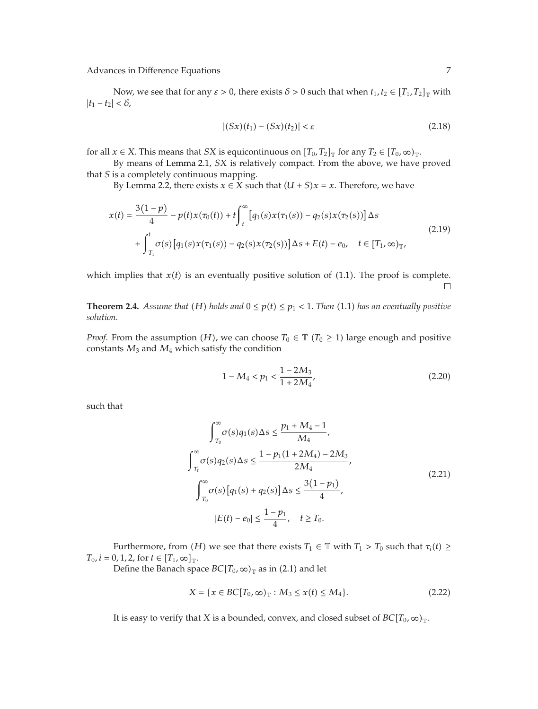Advances in Difference Equations 7

Now, we see that for any  $\varepsilon > 0$ , there exists  $\delta > 0$  such that when  $t_1, t_2 \in [T_1, T_2]_{\mathbb{T}}$  with  $|t_1 - t_2| < \delta$ ,

$$
|(Sx)(t_1) - (Sx)(t_2)| < \varepsilon \tag{2.18}
$$

for all *x*  $\in$  *X*. This means that *SX* is equicontinuous on  $[T_0, T_2]_{\mathbb{T}}$  for any  $T_2 \in [T_0, \infty)_{\mathbb{T}}$ .

By means of Lemma 2.1, *SX* is relatively compact. From the above, we have proved that *S* is a completely continuous mapping.

By Lemma 2.2, there exists  $x \in X$  such that  $(U + S)x = x$ . Therefore, we have

$$
x(t) = \frac{3(1-p)}{4} - p(t)x(\tau_0(t)) + t \int_t^{\infty} [q_1(s)x(\tau_1(s)) - q_2(s)x(\tau_2(s))] \Delta s
$$
  
+ 
$$
\int_{T_1}^t \sigma(s) [q_1(s)x(\tau_1(s)) - q_2(s)x(\tau_2(s))] \Delta s + E(t) - e_0, \quad t \in [T_1, \infty)_{\mathbb{T}},
$$
\n(2.19)

which implies that  $x(t)$  is an eventually positive solution of  $(1.1)$ . The proof is complete.  $\Box$ 

**Theorem 2.4.** *Assume that* (*H*) *holds and*  $0 \leq p(t) \leq p_1 < 1$ *. Then* (1.1) *has an eventually positive solution.*

*Proof.* From the assumption *(H)*, we can choose  $T_0 \in \mathbb{T}$  *(T<sub>0</sub>*  $\geq$  1) large enough and positive constants *M*<sup>3</sup> and *M*<sup>4</sup> which satisfy the condition

$$
1 - M_4 < p_1 < \frac{1 - 2M_3}{1 + 2M_4},\tag{2.20}
$$

such that

$$
\int_{T_0}^{\infty} \sigma(s) q_1(s) \Delta s \le \frac{p_1 + M_4 - 1}{M_4},
$$
  

$$
\int_{T_0}^{\infty} \sigma(s) q_2(s) \Delta s \le \frac{1 - p_1(1 + 2M_4) - 2M_3}{2M_4},
$$
  

$$
\int_{T_0}^{\infty} \sigma(s) [q_1(s) + q_2(s)] \Delta s \le \frac{3(1 - p_1)}{4},
$$
  

$$
|E(t) - e_0| \le \frac{1 - p_1}{4}, \quad t \ge T_0.
$$
 (2.21)

Furthermore, from *(H)* we see that there exists  $T_1 \in \mathbb{T}$  with  $T_1 > T_0$  such that  $\tau_i(t) \geq$  $T_0$ *, i* = 0, 1, 2, for  $t \in [T_1, \infty]_{\mathbb{T}}$ .

Define the Banach space  $BC[T_0, \infty)_T$  as in (2.1) and let

$$
X = \{x \in BC[T_0, \infty)_T : M_3 \le x(t) \le M_4\}.
$$
 (2.22)

It is easy to verify that *X* is a bounded, convex, and closed subset of  $BC[T_0, \infty)_T$ .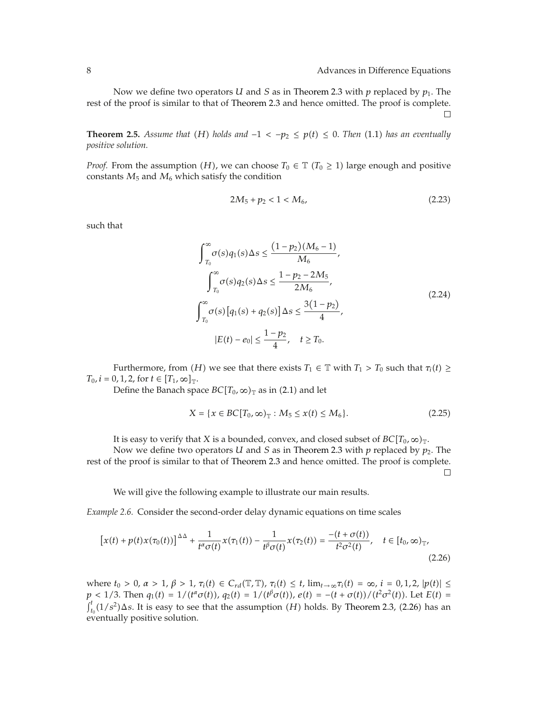Now we define two operators *U* and *S* as in Theorem 2.3 with *p* replaced by *p*1*.* The rest of the proof is similar to that of Theorem 2.3 and hence omitted. The proof is complete.  $\Box$ 

**Theorem 2.5.** *Assume that*  $(H)$  *holds and*  $-1 < -p_2 \le p(t) \le 0$ . *Then* (1.1) *has an eventually positive solution.*

*Proof.* From the assumption *(H)*, we can choose  $T_0 \in \mathbb{T}$  *(T<sub>0</sub>*  $\geq$  1) large enough and positive constants  $M_5$  and  $M_6$  which satisfy the condition

$$
2M_5 + p_2 < 1 < M_6,\tag{2.23}
$$

such that

$$
\int_{T_0}^{\infty} \sigma(s) q_1(s) \Delta s \le \frac{(1 - p_2)(M_6 - 1)}{M_6},
$$
  

$$
\int_{T_0}^{\infty} \sigma(s) q_2(s) \Delta s \le \frac{1 - p_2 - 2M_5}{2M_6},
$$
  

$$
\int_{T_0}^{\infty} \sigma(s) [q_1(s) + q_2(s)] \Delta s \le \frac{3(1 - p_2)}{4},
$$
  

$$
|E(t) - e_0| \le \frac{1 - p_2}{4}, \quad t \ge T_0.
$$
 (2.24)

Furthermore, from  $(H)$  we see that there exists  $T_1 \in \mathbb{T}$  with  $T_1 > T_0$  such that  $\tau_i(t) \geq$  $T_0$ *, i* = 0, 1, 2, for  $t \in [T_1, \infty]_{\mathbb{T}}$ .

Define the Banach space  $BC[T_0, \infty)_T$  as in (2.1) and let

$$
X = \{x \in BC[T_0, \infty)_T : M_5 \le x(t) \le M_6\}.
$$
 (2.25)

It is easy to verify that *X* is a bounded, convex, and closed subset of  $BC[T_0, \infty)_T$ .

Now we define two operators *U* and *S* as in Theorem 2.3 with *p* replaced by *p*2*.* The rest of the proof is similar to that of Theorem 2.3 and hence omitted. The proof is complete.  $\Box$ 

We will give the following example to illustrate our main results.

*Example 2.6.* Consider the second-order delay dynamic equations on time scales

$$
[x(t) + p(t)x(\tau_0(t))]^{\Delta \Delta} + \frac{1}{t^{\alpha} \sigma(t)} x(\tau_1(t)) - \frac{1}{t^{\beta} \sigma(t)} x(\tau_2(t)) = \frac{-(t + \sigma(t))}{t^2 \sigma^2(t)}, \quad t \in [t_0, \infty)_{\mathbb{T}},
$$
\n(2.26)

where  $t_0 > 0$ ,  $\alpha > 1$ ,  $\beta > 1$ ,  $\tau_i(t) \in C_{rd}(\mathbb{T}, \mathbb{T})$ ,  $\tau_i(t) \leq t$ ,  $\lim_{t \to \infty} \tau_i(t) = \infty$ ,  $i = 0, 1, 2$ ,  $|p(t)| \leq$  $p < 1/3$ . Then  $q_1(t) = 1/(t^{\alpha}\sigma(t))$ ,  $q_2(t) = 1/(t^{\beta}\sigma(t))$ ,  $e(t) = -(t + \sigma(t))/(t^2\sigma^2(t))$ . Let  $E(t) =$  $\int_{t_0}^t (1/s^2) \Delta s$ . It is easy to see that the assumption *(H)* holds. By Theorem 2.3, (2.26) has an eventually positive solution.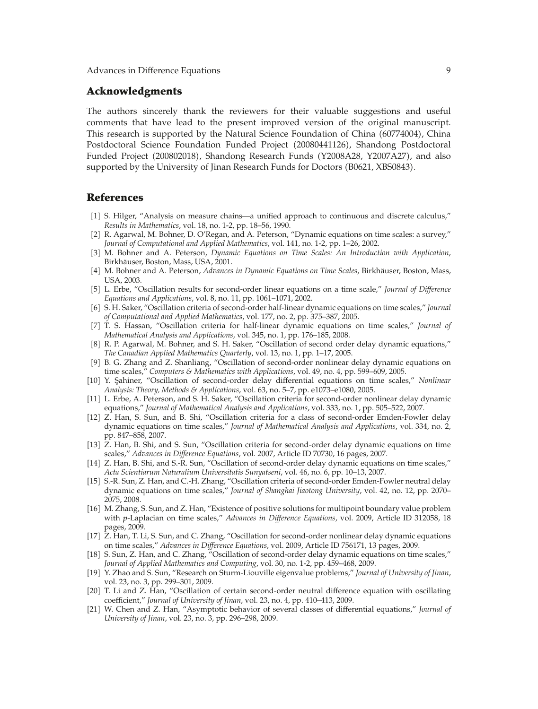#### **Acknowledgments**

The authors sincerely thank the reviewers for their valuable suggestions and useful comments that have lead to the present improved version of the original manuscript. This research is supported by the Natural Science Foundation of China (60774004), China Postdoctoral Science Foundation Funded Project 20080441126, Shandong Postdoctoral Funded Project 200802018, Shandong Research Funds Y2008A28, Y2007A27, and also supported by the University of Jinan Research Funds for Doctors (B0621, XBS0843).

#### **References**

- 1 S. Hilger, "Analysis on measure chains—a unified approach to continuous and discrete calculus," *Results in Mathematics*, vol. 18, no. 1-2, pp. 18–56, 1990.
- 2 R. Agarwal, M. Bohner, D. O'Regan, and A. Peterson, "Dynamic equations on time scales: a survey," *Journal of Computational and Applied Mathematics*, vol. 141, no. 1-2, pp. 1–26, 2002.
- 3 M. Bohner and A. Peterson, *Dynamic Equations on Time Scales: An Introduction with Application*, Birkhäuser, Boston, Mass, USA, 2001.
- 4 M. Bohner and A. Peterson, *Advances in Dynamic Equations on Time Scales*, Birkhauser, Boston, Mass, ¨ USA, 2003.
- 5 L. Erbe, "Oscillation results for second-order linear equations on a time scale," *Journal of Difference Equations and Applications*, vol. 8, no. 11, pp. 1061–1071, 2002.
- 6 S. H. Saker, "Oscillation criteria of second-order half-linear dynamic equations on time scales," *Journal of Computational and Applied Mathematics*, vol. 177, no. 2, pp. 375–387, 2005.
- 7 T. S. Hassan, "Oscillation criteria for half-linear dynamic equations on time scales," *Journal of Mathematical Analysis and Applications*, vol. 345, no. 1, pp. 176–185, 2008.
- [8] R. P. Agarwal, M. Bohner, and S. H. Saker, "Oscillation of second order delay dynamic equations," *The Canadian Applied Mathematics Quarterly*, vol. 13, no. 1, pp. 1–17, 2005.
- 9 B. G. Zhang and Z. Shanliang, "Oscillation of second-order nonlinear delay dynamic equations on time scales," *Computers & Mathematics with Applications*, vol. 49, no. 4, pp. 599–609, 2005.
- 10 Y. S¸ahiner, "Oscillation of second-order delay differential equations on time scales," *Nonlinear Analysis: Theory, Methods & Applications*, vol. 63, no. 5–7, pp. e1073–e1080, 2005.
- [11] L. Erbe, A. Peterson, and S. H. Saker, "Oscillation criteria for second-order nonlinear delay dynamic equations," *Journal of Mathematical Analysis and Applications*, vol. 333, no. 1, pp. 505–522, 2007.
- 12 Z. Han, S. Sun, and B. Shi, "Oscillation criteria for a class of second-order Emden-Fowler delay dynamic equations on time scales," *Journal of Mathematical Analysis and Applications*, vol. 334, no. 2, pp. 847–858, 2007.
- 13 Z. Han, B. Shi, and S. Sun, "Oscillation criteria for second-order delay dynamic equations on time scales," *Advances in Difference Equations*, vol. 2007, Article ID 70730, 16 pages, 2007.
- 14 Z. Han, B. Shi, and S.-R. Sun, "Oscillation of second-order delay dynamic equations on time scales," *Acta Scientiarum Naturalium Universitatis Sunyatseni*, vol. 46, no. 6, pp. 10–13, 2007.
- 15 S.-R. Sun, Z. Han, and C.-H. Zhang, "Oscillation criteria of second-order Emden-Fowler neutral delay dynamic equations on time scales," *Journal of Shanghai Jiaotong University*, vol. 42, no. 12, pp. 2070– 2075, 2008.
- [16] M. Zhang, S. Sun, and Z. Han, "Existence of positive solutions for multipoint boundary value problem with *p*-Laplacian on time scales," *Advances in Difference Equations*, vol. 2009, Article ID 312058, 18 pages, 2009.
- 17 Z. Han, T. Li, S. Sun, and C. Zhang, "Oscillation for second-order nonlinear delay dynamic equations on time scales," *Advances in Difference Equations*, vol. 2009, Article ID 756171, 13 pages, 2009.
- 18 S. Sun, Z. Han, and C. Zhang, "Oscillation of second-order delay dynamic equations on time scales," *Journal of Applied Mathematics and Computing*, vol. 30, no. 1-2, pp. 459–468, 2009.
- 19 Y. Zhao and S. Sun, "Research on Sturm-Liouville eigenvalue problems," *Journal of University of Jinan*, vol. 23, no. 3, pp. 299–301, 2009.
- 20 T. Li and Z. Han, "Oscillation of certain second-order neutral difference equation with oscillating coefficient," *Journal of University of Jinan*, vol. 23, no. 4, pp. 410–413, 2009.
- 21 W. Chen and Z. Han, "Asymptotic behavior of several classes of differential equations," *Journal of University of Jinan*, vol. 23, no. 3, pp. 296–298, 2009.